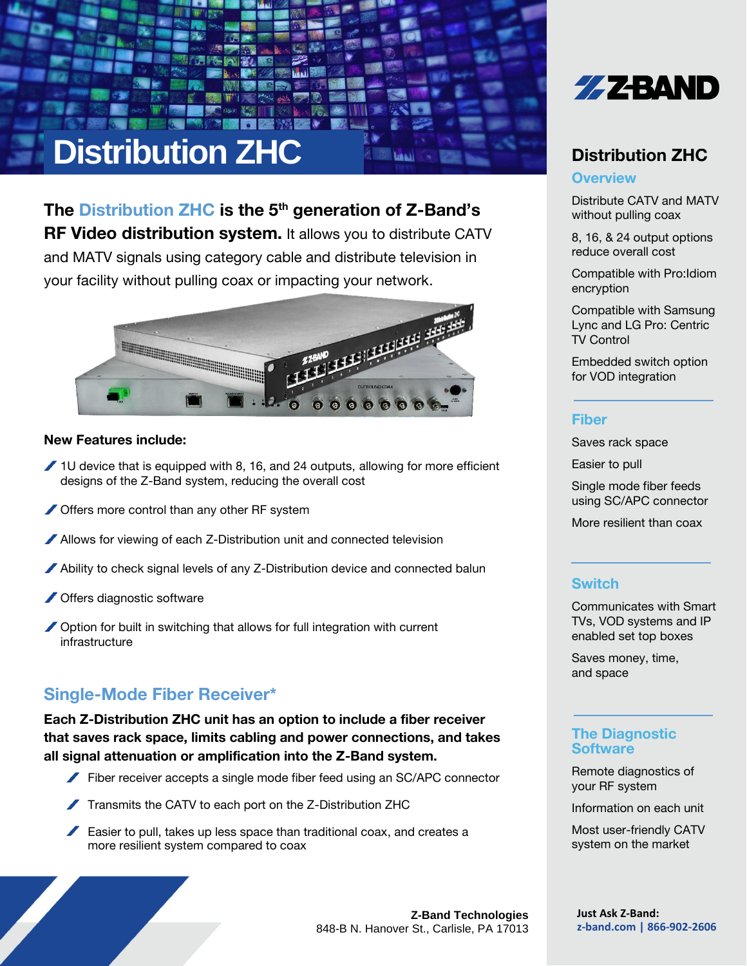# **Distribution ZHC**

The Distribution  $ZHC$  is the  $5<sup>th</sup>$  generation of Z-Band's **RF Video distribution system.** It allows you to distribute CATV and MATV signals using category cable and distribute television in your facility without pulling coax or impacting your network.



#### New Features include:

- $\blacktriangleright$  1U device that is equipped with 8, 16, and 24 outputs, allowing for more efficient designs of the Z-Band system, reducing the overall cost
- Offers more control than any other RF system
- Allows for viewing of each Z-Distribution unit and connected television
- Ability to check signal levels of any Z-Distribution device and connected balun
- **/ Offers diagnostic software**
- ◯ Option for built in switching that allows for full integration with current infrastructure

## Single-Mode Fiber Receiver\*

Each Z-Distribution ZHC unit has an option to include a fiber receiver that saves rack space, limits cabling and power connections, and takes all signal attenuation or amplification into the Z-Band system.

- Fiber receiver accepts a single mode fiber feed using an SC/APC connector
- Transmits the CATV to each port on the Z-Distribution ZHC
- Easier to pull, takes up less space than traditional coax, and creates a more resilient system compared to coax



## Distribution ZHC

#### **Overview**

Distribute CATV and MATV without pulling coax

8, 16, & 24 output options reduce overall cost

Compatible with Pro:Idiom encryption

Compatible with Samsung Lync and LG Pro: Centric TV Control

Embedded switch option for VOD integration

#### Fiber

Saves rack space

Easier to pull

Single mode fiber feeds using SC/APC connector

More resilient than coax

#### **Switch**

Communicates with Smart TVs, VOD systems and IP enabled set top boxes

Saves money, time, and space

#### The Diagnostic **Software**

Remote diagnostics of your RF system

Information on each unit

Most user-friendly CATV system on the market

**Z-Band Technologies** 848-B N. Hanover St., Carlisle, PA 17013 **Just Ask Z-Band: z-band.com | 866-902-2606**